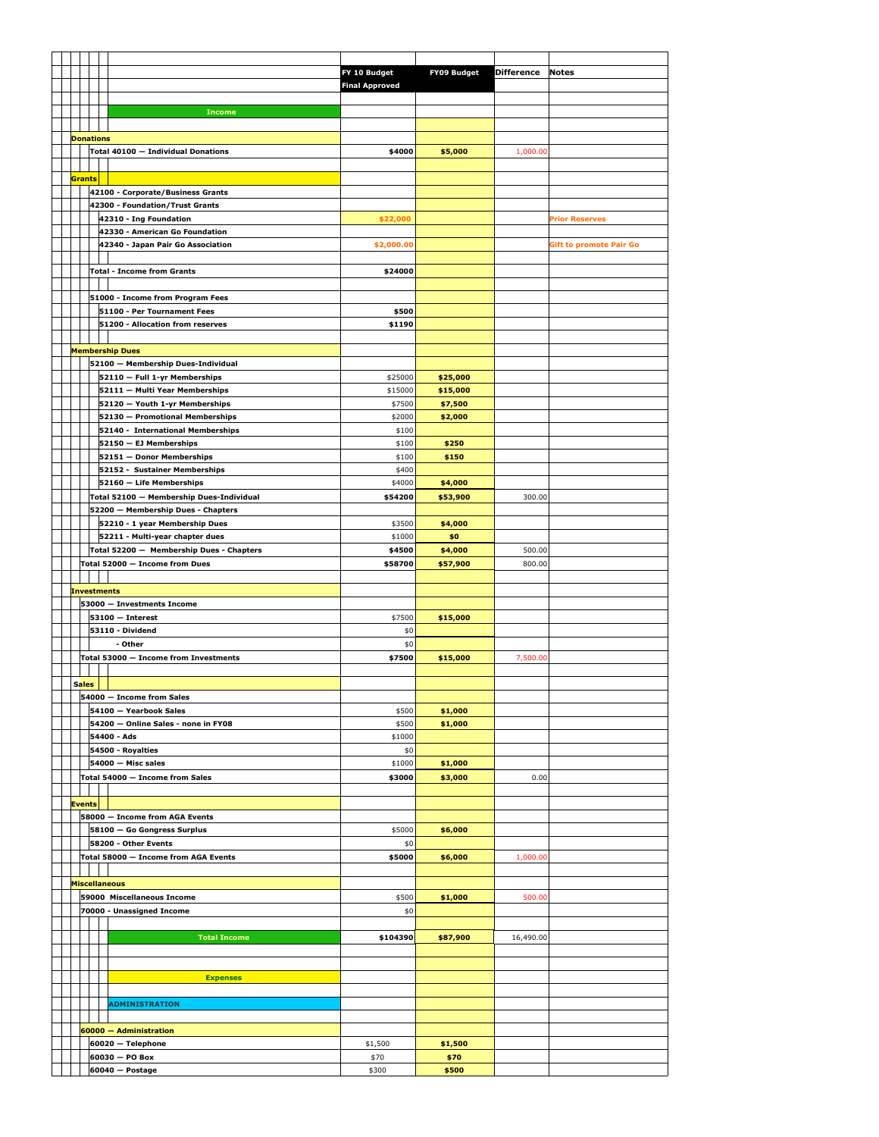|                        |                    |                                          | FY 10 Budget          | <b>FY09 Budget</b> | <b>Difference</b> | <b>Notes</b>                   |
|------------------------|--------------------|------------------------------------------|-----------------------|--------------------|-------------------|--------------------------------|
|                        |                    |                                          | <b>Final Approved</b> |                    |                   |                                |
|                        |                    |                                          |                       |                    |                   |                                |
|                        |                    |                                          |                       |                    |                   |                                |
|                        |                    | <b>Income</b>                            |                       |                    |                   |                                |
|                        |                    |                                          |                       |                    |                   |                                |
|                        | <b>Donations</b>   |                                          |                       |                    |                   |                                |
|                        |                    | Total 40100 - Individual Donations       | \$4000                | \$5,000            | 1,000.00          |                                |
|                        |                    |                                          |                       |                    |                   |                                |
|                        | Grants             |                                          |                       |                    |                   |                                |
|                        |                    | 42100 - Corporate/Business Grants        |                       |                    |                   |                                |
|                        |                    | 42300 - Foundation/Trust Grants          |                       |                    |                   |                                |
|                        |                    | 42310 - Ing Foundation                   |                       |                    |                   |                                |
|                        |                    |                                          | \$22,000              |                    |                   | <b>Prior Reserves</b>          |
|                        |                    | 42330 - American Go Foundation           |                       |                    |                   |                                |
|                        |                    | 42340 - Japan Pair Go Association        | \$2,000.00            |                    |                   | <b>Gift to promote Pair Go</b> |
|                        |                    |                                          |                       |                    |                   |                                |
|                        |                    | <b>Total - Income from Grants</b>        | \$24000               |                    |                   |                                |
|                        |                    |                                          |                       |                    |                   |                                |
|                        |                    | 51000 - Income from Program Fees         |                       |                    |                   |                                |
|                        |                    | 51100 - Per Tournament Fees              | \$500                 |                    |                   |                                |
|                        |                    | 51200 - Allocation from reserves         | \$1190                |                    |                   |                                |
|                        |                    |                                          |                       |                    |                   |                                |
|                        |                    |                                          |                       |                    |                   |                                |
|                        |                    | <b>Membership Dues</b>                   |                       |                    |                   |                                |
|                        |                    | 52100 - Membership Dues-Individual       |                       |                    |                   |                                |
|                        |                    | 52110 - Full 1-yr Memberships            | \$25000               | \$25,000           |                   |                                |
|                        |                    | 52111 - Multi Year Memberships           | \$15000               | \$15,000           |                   |                                |
|                        |                    | 52120 - Youth 1-yr Memberships           | \$7500                | \$7,500            |                   |                                |
|                        |                    | 52130 - Promotional Memberships          | \$2000                | \$2,000            |                   |                                |
|                        |                    | 52140 - International Memberships        | \$100                 |                    |                   |                                |
|                        |                    | 52150 - EJ Memberships                   | \$100                 | \$250              |                   |                                |
|                        |                    |                                          |                       |                    |                   |                                |
|                        |                    | 52151 - Donor Memberships                | \$100                 | \$150              |                   |                                |
|                        |                    | 52152 - Sustainer Memberships            | \$400                 |                    |                   |                                |
|                        |                    | 52160 - Life Memberships                 | \$4000                | \$4,000            |                   |                                |
|                        |                    | Total 52100 - Membership Dues-Individual | \$54200               | \$53,900           | 300.00            |                                |
|                        |                    | 52200 - Membership Dues - Chapters       |                       |                    |                   |                                |
|                        |                    | 52210 - 1 year Membership Dues           | \$3500                | \$4,000            |                   |                                |
|                        |                    | 52211 - Multi-year chapter dues          | \$1000                | \$0                |                   |                                |
|                        |                    | Total 52200 - Membership Dues - Chapters | \$4500                | \$4,000            | 500.00            |                                |
|                        |                    | Total 52000 - Income from Dues           | \$58700               | \$57,900           | 800.00            |                                |
|                        |                    |                                          |                       |                    |                   |                                |
|                        |                    |                                          |                       |                    |                   |                                |
|                        | <b>Investments</b> |                                          |                       |                    |                   |                                |
|                        |                    | 53000 - Investments Income               |                       |                    |                   |                                |
|                        |                    | $53100 - Interest$                       | \$7500                | \$15,000           |                   |                                |
|                        |                    | 53110 - Dividend                         | \$0                   |                    |                   |                                |
|                        |                    | - Other                                  | \$0                   |                    |                   |                                |
|                        |                    | Total 53000 - Income from Investments    | \$7500                | \$15,000           | 7,500.00          |                                |
|                        |                    |                                          |                       |                    |                   |                                |
|                        | Sales              |                                          |                       |                    |                   |                                |
|                        |                    |                                          |                       |                    |                   |                                |
|                        |                    | 54000 - Income from Sales                |                       |                    |                   |                                |
|                        |                    | 54100 - Yearbook Sales                   | \$500                 | \$1,000            |                   |                                |
|                        |                    | 54200 - Online Sales - none in FY08      | \$500                 | \$1,000            |                   |                                |
|                        |                    | 54400 - Ads                              | \$1000                |                    |                   |                                |
|                        |                    | 54500 - Royalties                        | \$0                   |                    |                   |                                |
|                        |                    | 54000 - Misc sales                       | \$1000                | \$1,000            |                   |                                |
|                        |                    | Total 54000 - Income from Sales          | \$3000                | \$3,000            | 0.00              |                                |
|                        |                    |                                          |                       |                    |                   |                                |
|                        | <b>Events</b>      |                                          |                       |                    |                   |                                |
|                        |                    | 58000 - Income from AGA Events           |                       |                    |                   |                                |
|                        |                    |                                          |                       |                    |                   |                                |
|                        |                    | 58100 - Go Gongress Surplus              | \$5000                | \$6,000            |                   |                                |
|                        |                    | 58200 - Other Events                     | \$0                   |                    |                   |                                |
|                        |                    | Total 58000 - Income from AGA Events     | \$5000                | \$6,000            | 1,000.00          |                                |
|                        |                    |                                          |                       |                    |                   |                                |
|                        |                    | <b>Miscellaneous</b>                     |                       |                    |                   |                                |
|                        |                    | 59000 Miscellaneous Income               | \$500                 | \$1,000            | 500.00            |                                |
|                        |                    | 70000 - Unassigned Income                | \$0                   |                    |                   |                                |
|                        |                    |                                          |                       |                    |                   |                                |
|                        |                    | <b>Total Income</b>                      | \$104390              | \$87,900           | 16,490.00         |                                |
|                        |                    |                                          |                       |                    |                   |                                |
|                        |                    |                                          |                       |                    |                   |                                |
|                        |                    |                                          |                       |                    |                   |                                |
|                        |                    | <b>Expenses</b>                          |                       |                    |                   |                                |
|                        |                    |                                          |                       |                    |                   |                                |
|                        |                    | <b>ADMINISTRATION</b>                    |                       |                    |                   |                                |
|                        |                    |                                          |                       |                    |                   |                                |
| 60000 - Administration |                    |                                          |                       |                    |                   |                                |
|                        |                    | 60020 - Telephone                        | \$1,500               | \$1,500            |                   |                                |
|                        |                    | 60030 - PO Box                           | \$70                  | \$70               |                   |                                |
|                        |                    |                                          |                       | \$500              |                   |                                |
|                        |                    | $60040 - Postage$                        | \$300                 |                    |                   |                                |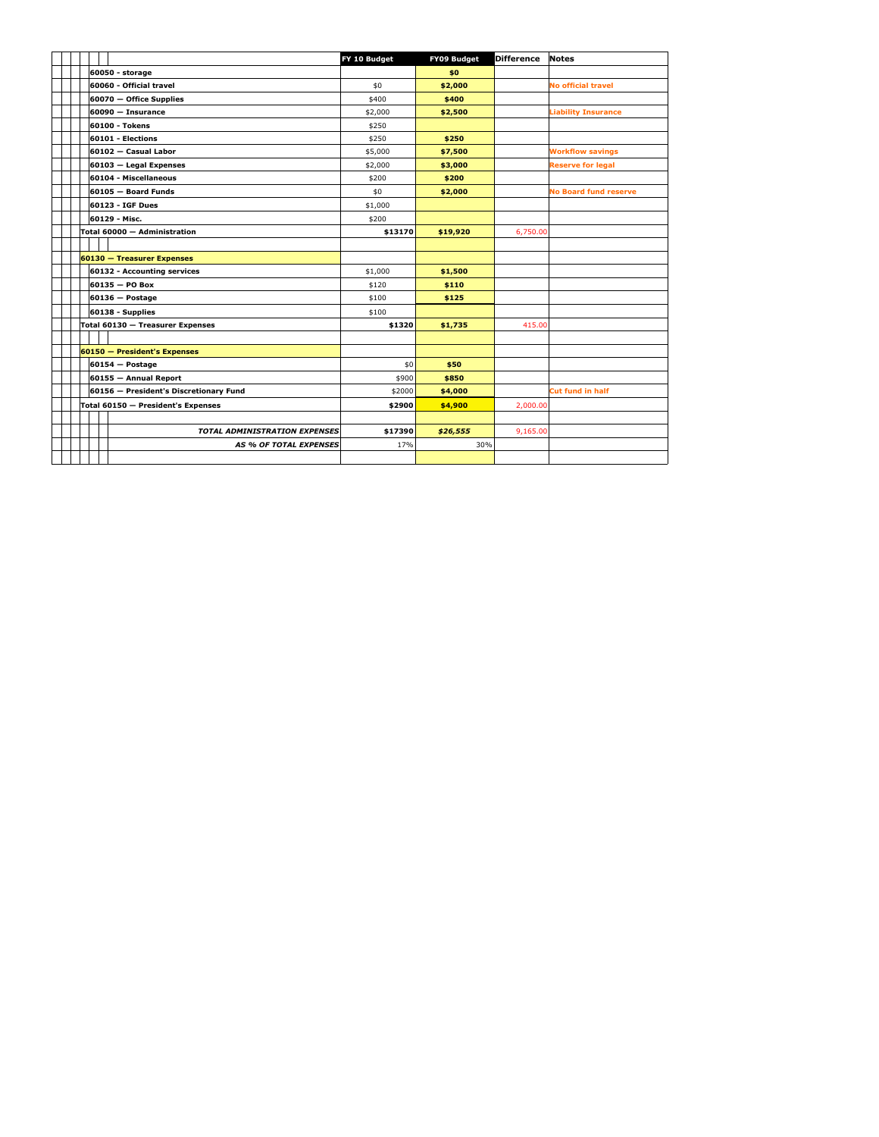|                                        | FY 10 Budget | <b>FY09 Budget</b> | <b>Difference</b> | <b>Notes</b>                 |
|----------------------------------------|--------------|--------------------|-------------------|------------------------------|
| 60050 - storage                        |              | \$0                |                   |                              |
| 60060 - Official travel                | \$0          | \$2,000            |                   | <b>No official travel</b>    |
| 60070 - Office Supplies                | \$400        | \$400              |                   |                              |
| $60090 - Insurance$                    | \$2,000      | \$2,500            |                   | <b>Liability Insurance</b>   |
| 60100 - Tokens                         | \$250        |                    |                   |                              |
| 60101 - Elections                      | \$250        | \$250              |                   |                              |
| 60102 - Casual Labor                   | \$5,000      | \$7,500            |                   | <b>Workflow savings</b>      |
| 60103 - Legal Expenses                 | \$2,000      | \$3,000            |                   | <b>Reserve for legal</b>     |
| 60104 - Miscellaneous                  | \$200        | \$200              |                   |                              |
| 60105 - Board Funds                    | \$0          | \$2,000            |                   | <b>No Board fund reserve</b> |
| 60123 - IGF Dues                       | \$1,000      |                    |                   |                              |
| 60129 - Misc.                          | \$200        |                    |                   |                              |
| Total 60000 - Administration           | \$13170      | \$19,920           | 6.750.00          |                              |
|                                        |              |                    |                   |                              |
| 60130 - Treasurer Expenses             |              |                    |                   |                              |
| 60132 - Accounting services            | \$1,000      | \$1,500            |                   |                              |
| $60135 - PO$ Box                       | \$120        | \$110              |                   |                              |
| $60136 - Postage$                      | \$100        | \$125              |                   |                              |
| 60138 - Supplies                       | \$100        |                    |                   |                              |
| Total 60130 - Treasurer Expenses       | \$1320       | \$1,735            | 415.00            |                              |
|                                        |              |                    |                   |                              |
| 60150 - President's Expenses           |              |                    |                   |                              |
| $60154 - Postage$                      | \$0          | \$50               |                   |                              |
| 60155 - Annual Report                  | \$900        | \$850              |                   |                              |
| 60156 - President's Discretionary Fund | \$2000       | \$4,000            |                   | <b>Cut fund in half</b>      |
| Total 60150 - President's Expenses     | \$2900       | \$4,900            | 2,000.00          |                              |
|                                        |              |                    |                   |                              |
| <b>TOTAL ADMINISTRATION EXPENSES</b>   | \$17390      | \$26,555           | 9,165.00          |                              |
| <b>AS % OF TOTAL EXPENSES</b>          | 17%          | 30%                |                   |                              |
|                                        |              |                    |                   |                              |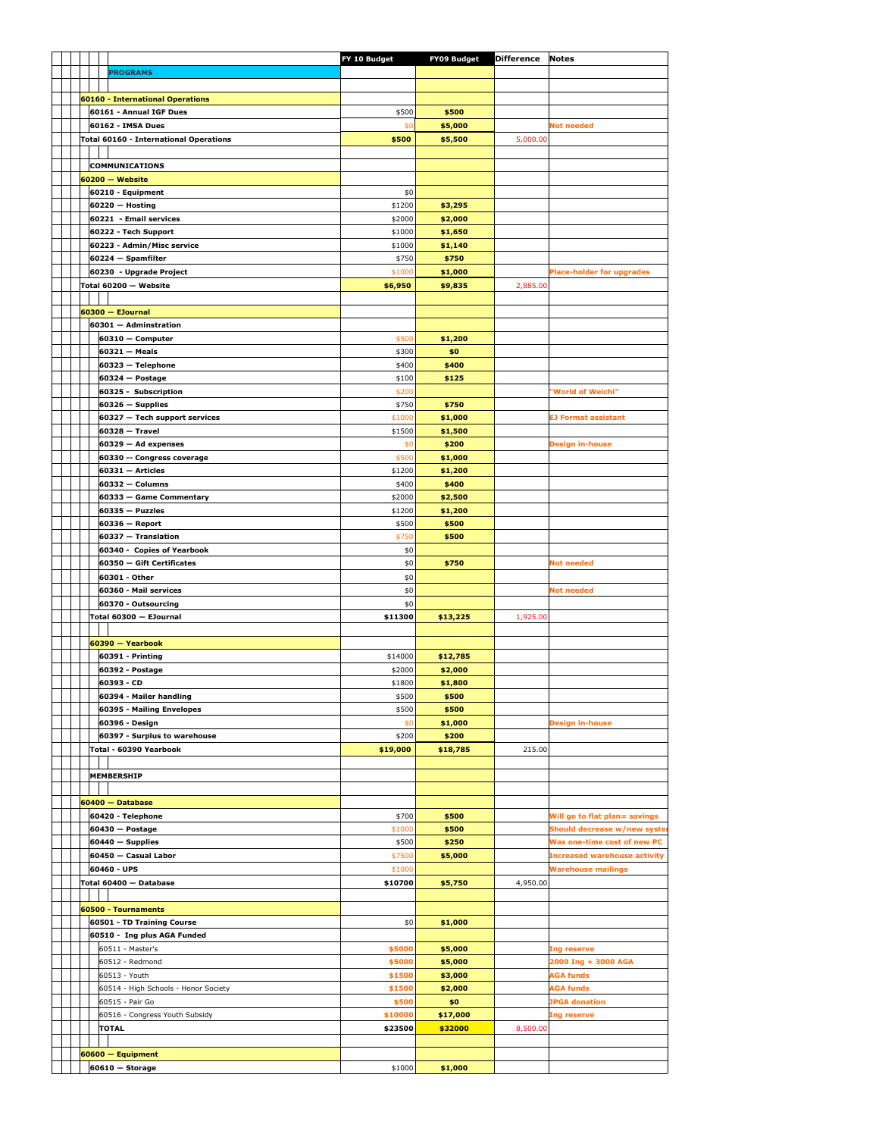|  |  |                                               | FY 10 Budget | <b>FY09 Budget Difference Notes</b> |          |                                     |
|--|--|-----------------------------------------------|--------------|-------------------------------------|----------|-------------------------------------|
|  |  | <b>PROGRAMS</b>                               |              |                                     |          |                                     |
|  |  |                                               |              |                                     |          |                                     |
|  |  | <b>60160 - International Operations</b>       |              |                                     |          |                                     |
|  |  | 60161 - Annual IGF Dues                       | \$500        | \$500                               |          |                                     |
|  |  | 60162 - IMSA Dues                             | \$0          | \$5,000                             |          | Not needed                          |
|  |  | <b>Total 60160 - International Operations</b> | \$500        | \$5,500                             | 5,000.00 |                                     |
|  |  |                                               |              |                                     |          |                                     |
|  |  | <b>COMMUNICATIONS</b>                         |              |                                     |          |                                     |
|  |  | $60200 - Website$                             |              |                                     |          |                                     |
|  |  | 60210 - Equipment                             | \$0          |                                     |          |                                     |
|  |  | $60220 - Hosting$                             | \$1200       | \$3,295                             |          |                                     |
|  |  | 60221 - Email services                        | \$2000       | \$2,000                             |          |                                     |
|  |  | 60222 - Tech Support                          | \$1000       | \$1,650                             |          |                                     |
|  |  | 60223 - Admin/Misc service                    | \$1000       | \$1,140                             |          |                                     |
|  |  | 60224 - Spamfilter                            | \$750        |                                     |          |                                     |
|  |  |                                               | \$1000       | \$750                               |          |                                     |
|  |  | 60230 - Upgrade Project                       |              | \$1,000                             |          | <b>Place-holder for upgrades</b>    |
|  |  | Total 60200 - Website                         | \$6,950      | \$9,835                             | 2,885.00 |                                     |
|  |  |                                               |              |                                     |          |                                     |
|  |  | $60300 -$ EJournal                            |              |                                     |          |                                     |
|  |  | 60301 - Adminstration                         |              |                                     |          |                                     |
|  |  | $60310 - Computer$                            | \$500        | \$1,200                             |          |                                     |
|  |  | $60321 - Meals$                               | \$300        | \$0                                 |          |                                     |
|  |  | 60323 - Telephone                             | \$400        | \$400                               |          |                                     |
|  |  | $60324 - Postage$                             | \$100        | \$125                               |          |                                     |
|  |  | 60325 - Subscription                          | \$200        |                                     |          | 'World of Weichi"                   |
|  |  | $60326 -$ Supplies                            | \$750        | \$750                               |          |                                     |
|  |  | 60327 - Tech support services                 | \$1000       | \$1,000                             |          | <b>EJ Format assistant</b>          |
|  |  | $60328 - Travel$                              | \$1500       | \$1,500                             |          |                                     |
|  |  | $60329 - Ad$ expenses                         | \$0          | \$200                               |          | <b>Design in-house</b>              |
|  |  | 60330 -- Congress coverage                    | \$500        | \$1,000                             |          |                                     |
|  |  | $60331 -$ Articles                            | \$1200       | \$1,200                             |          |                                     |
|  |  | 60332 - Columns                               | \$400        | \$400                               |          |                                     |
|  |  | 60333 - Game Commentary                       | \$2000       | \$2,500                             |          |                                     |
|  |  | $60335 - Puzzles$                             | \$1200       | \$1,200                             |          |                                     |
|  |  | 60336 - Report                                | \$500        | \$500                               |          |                                     |
|  |  | 60337 - Translation                           | \$750        | \$500                               |          |                                     |
|  |  | 60340 - Copies of Yearbook                    | \$0          |                                     |          |                                     |
|  |  | 60350 - Gift Certificates                     | \$0          | \$750                               |          | <b>Not needed</b>                   |
|  |  | 60301 - Other                                 | \$0          |                                     |          |                                     |
|  |  | 60360 - Mail services                         | \$0          |                                     |          | Not needed                          |
|  |  | 60370 - Outsourcing                           | \$0          |                                     |          |                                     |
|  |  | Total 60300 - EJournal                        | \$11300      | \$13,225                            | 1,925.00 |                                     |
|  |  |                                               |              |                                     |          |                                     |
|  |  | 60390 - Yearbook                              |              |                                     |          |                                     |
|  |  | 60391 - Printing                              | \$14000      | \$12,785                            |          |                                     |
|  |  | 60392 - Postage                               | \$2000       | \$2,000                             |          |                                     |
|  |  | 60393 - CD                                    | \$1800       | \$1,800                             |          |                                     |
|  |  | 60394 - Mailer handling                       | \$500        |                                     |          |                                     |
|  |  |                                               |              | \$500                               |          |                                     |
|  |  | 60395 - Mailing Envelopes<br>60396 - Design   | \$500        | \$500<br>\$1,000                    |          | <b>Design in-house</b>              |
|  |  |                                               | \$0          |                                     |          |                                     |
|  |  | 60397 - Surplus to warehouse                  | \$200        | \$200                               |          |                                     |
|  |  | Total - 60390 Yearbook                        | \$19,000     | \$18,785                            | 215.00   |                                     |
|  |  |                                               |              |                                     |          |                                     |
|  |  | MEMBERSHIP                                    |              |                                     |          |                                     |
|  |  |                                               |              |                                     |          |                                     |
|  |  | $60400 - Database$                            |              |                                     |          |                                     |
|  |  | 60420 - Telephone                             | \$700        | \$500                               |          | Will go to flat plan= savings       |
|  |  | 60430 - Postage                               | \$1000       | \$500                               |          | Should decrease w/new syste         |
|  |  | $60440 -$ Supplies                            | \$500        | \$250                               |          | Was one-time cost of new PC         |
|  |  | 60450 - Casual Labor                          | \$7500       | \$5,000                             |          | <b>Increased warehouse activity</b> |
|  |  | 60460 - UPS                                   | \$1000       |                                     |          | <b>Warehouse mailings</b>           |
|  |  | Total 60400 - Database                        | \$10700      | \$5,750                             | 4,950.00 |                                     |
|  |  |                                               |              |                                     |          |                                     |
|  |  | 60500 - Tournaments                           |              |                                     |          |                                     |
|  |  | 60501 - TD Training Course                    | \$0          | \$1,000                             |          |                                     |
|  |  | 60510 - Ing plus AGA Funded                   |              |                                     |          |                                     |
|  |  | 60511 - Master's                              | \$5000       | \$5,000                             |          | Ing reserve                         |
|  |  | 60512 - Redmond                               | \$5000       | \$5,000                             |          | 2000 Ing + 3000 AGA                 |
|  |  | 60513 - Youth                                 | \$1500       | \$3,000                             |          | AGA funds                           |
|  |  | 60514 - High Schools - Honor Society          | \$1500       | \$2,000                             |          | <b>AGA funds</b>                    |
|  |  | 60515 - Pair Go                               | \$500        | \$0                                 |          | <b>JPGA</b> donation                |
|  |  | 60516 - Congress Youth Subsidy                | \$10000      | \$17,000                            |          | Ing reserve                         |
|  |  | <b>TOTAL</b>                                  | \$23500      | \$32000                             | 8,500.00 |                                     |
|  |  |                                               |              |                                     |          |                                     |
|  |  | 60600 - Equipment                             |              |                                     |          |                                     |
|  |  | $60610 -$ Storage                             | \$1000       | \$1,000                             |          |                                     |